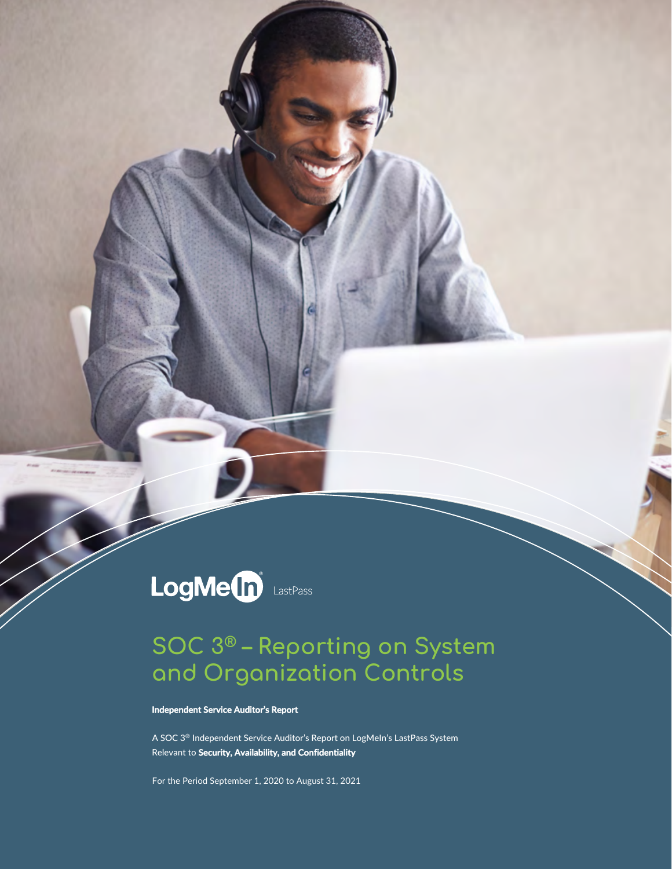# LogMe(n) LastPass

### **SOC 3® – Reporting on System and Organization Controls**

**Independent Service Auditor's Report** 

A SOC 3® Independent Service Auditor's Report on LogMeIn's LastPass System Relevant to **Security, Availability, and Confidentiality**

For the Period September 1, 2020 to August 31, 2021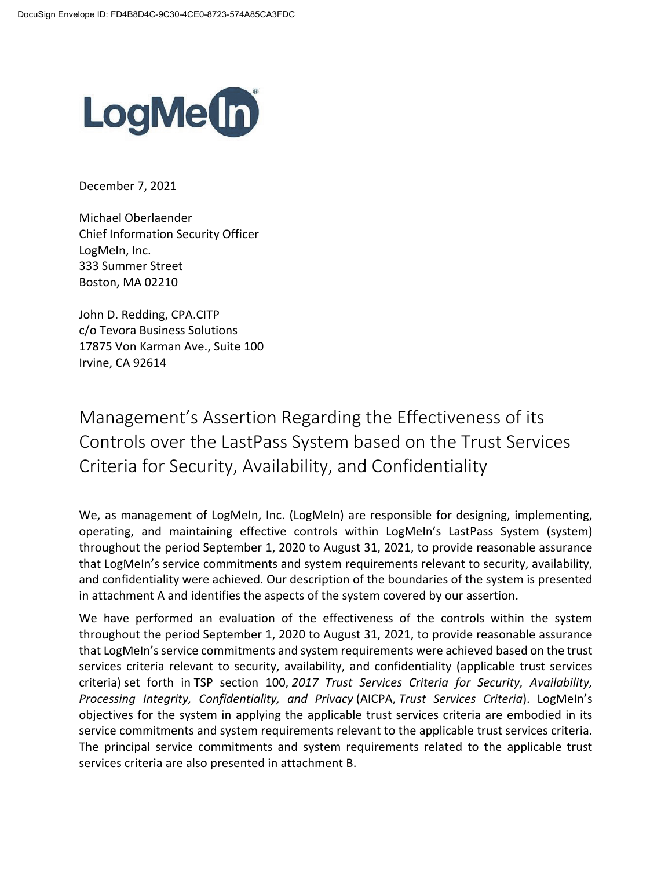

December 7, 2021

Michael Oberlaender Chief Information Security Officer LogMeIn, Inc. 333 Summer Street Boston, MA 02210

John D. Redding, CPA.CITP c/o Tevora Business Solutions 17875 Von Karman Ave., Suite 100 Irvine, CA 92614

Management's Assertion Regarding the Effectiveness of its Controls over the LastPass System based on the Trust Services Criteria for Security, Availability, and Confidentiality

We, as management of LogMeIn, Inc. (LogMeIn) are responsible for designing, implementing, operating, and maintaining effective controls within LogMeIn's LastPass System (system) throughout the period September 1, 2020 to August 31, 2021, to provide reasonable assurance that LogMeIn's service commitments and system requirements relevant to security, availability, and confidentiality were achieved. Our description of the boundaries of the system is presented in attachment A and identifies the aspects of the system covered by our assertion.

We have performed an evaluation of the effectiveness of the controls within the system throughout the period September 1, 2020 to August 31, 2021, to provide reasonable assurance that LogMeIn's service commitments and system requirements were achieved based on the trust services criteria relevant to security, availability, and confidentiality (applicable trust services criteria) set forth in TSP section 100, *2017 Trust Services Criteria for Security, Availability, Processing Integrity, Confidentiality, and Privacy* (AICPA, *Trust Services Criteria*). LogMeIn's objectives for the system in applying the applicable trust services criteria are embodied in its service commitments and system requirements relevant to the applicable trust services criteria. The principal service commitments and system requirements related to the applicable trust services criteria are also presented in attachment B.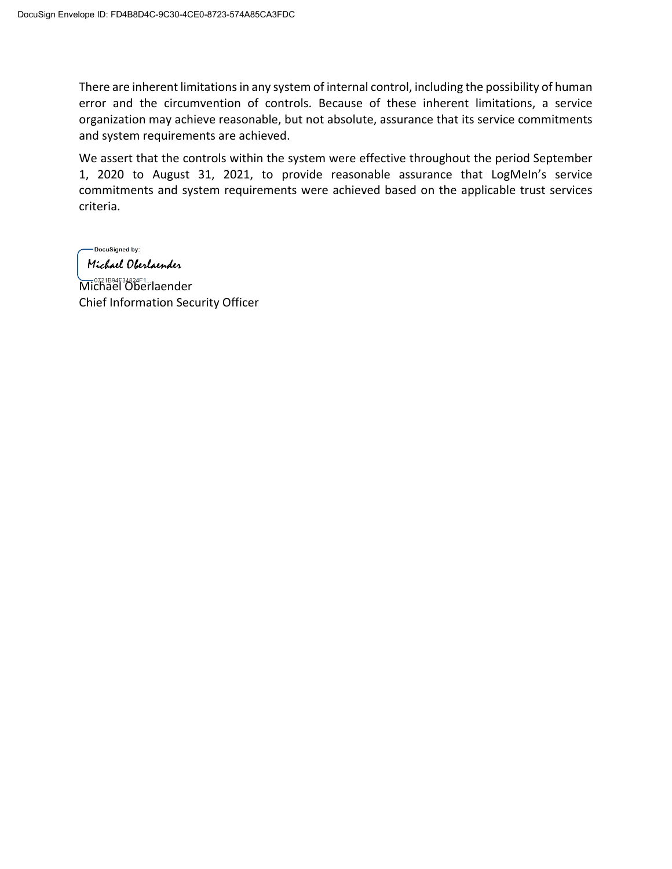There are inherent limitations in any system of internal control, including the possibility of human error and the circumvention of controls. Because of these inherent limitations, a service organization may achieve reasonable, but not absolute, assurance that its service commitments and system requirements are achieved.

We assert that the controls within the system were effective throughout the period September 1, 2020 to August 31, 2021, to provide reasonable assurance that LogMeIn's service commitments and system requirements were achieved based on the applicable trust services criteria.

-DocuSigned by: Michael Oberlaender

Michael Oberlaender Chief Information Security Officer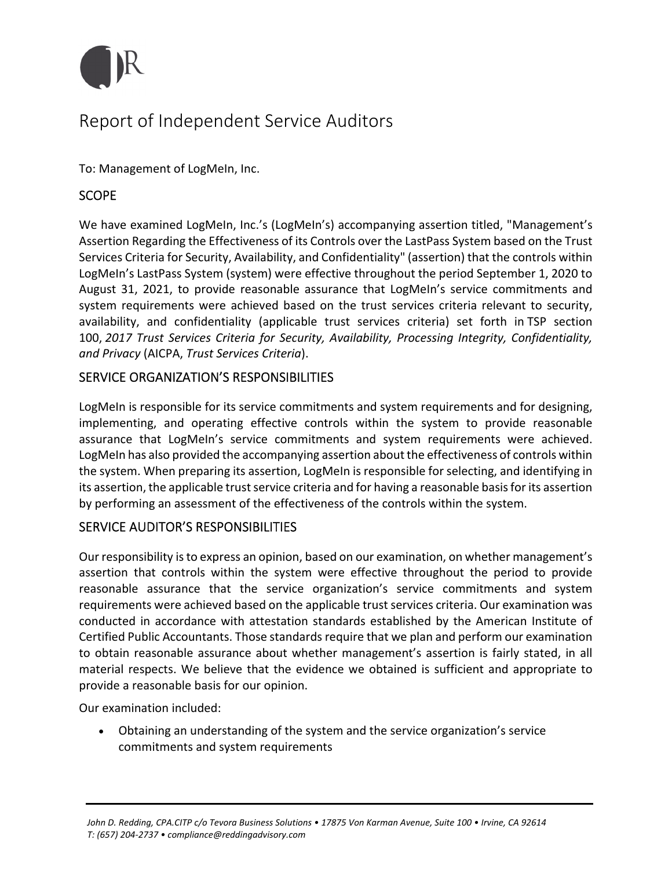

### Report of Independent Service Auditors

To: Management of LogMeIn, Inc.

#### **SCOPE**

We have examined LogMeIn, Inc.'s (LogMeIn's) accompanying assertion titled, "Management's Assertion Regarding the Effectiveness of its Controls over the LastPass System based on the Trust Services Criteria for Security, Availability, and Confidentiality" (assertion) that the controls within LogMeIn's LastPass System (system) were effective throughout the period September 1, 2020 to August 31, 2021, to provide reasonable assurance that LogMeIn's service commitments and system requirements were achieved based on the trust services criteria relevant to security, availability, and confidentiality (applicable trust services criteria) set forth in TSP section 100, *2017 Trust Services Criteria for Security, Availability, Processing Integrity, Confidentiality, and Privacy* (AICPA, *Trust Services Criteria*).

#### SERVICE ORGANIZATION'S RESPONSIBILITIES

LogMeIn is responsible for its service commitments and system requirements and for designing, implementing, and operating effective controls within the system to provide reasonable assurance that LogMeIn's service commitments and system requirements were achieved. LogMeIn has also provided the accompanying assertion about the effectiveness of controls within the system. When preparing its assertion, LogMeIn is responsible for selecting, and identifying in its assertion, the applicable trust service criteria and for having a reasonable basis for its assertion by performing an assessment of the effectiveness of the controls within the system.

#### SERVICE AUDITOR'S RESPONSIBILITIES

Our responsibility isto express an opinion, based on our examination, on whether management's assertion that controls within the system were effective throughout the period to provide reasonable assurance that the service organization's service commitments and system requirements were achieved based on the applicable trust services criteria. Our examination was conducted in accordance with attestation standards established by the American Institute of Certified Public Accountants. Those standards require that we plan and perform our examination to obtain reasonable assurance about whether management's assertion is fairly stated, in all material respects. We believe that the evidence we obtained is sufficient and appropriate to provide a reasonable basis for our opinion.

Our examination included:

 Obtaining an understanding of the system and the service organization's service commitments and system requirements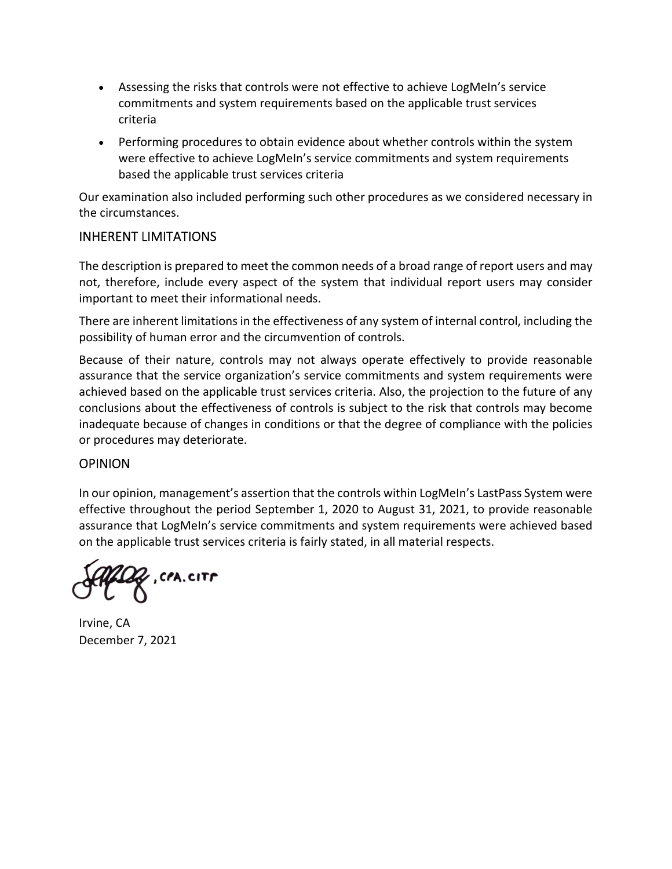- Assessing the risks that controls were not effective to achieve LogMeIn's service commitments and system requirements based on the applicable trust services criteria
- Performing procedures to obtain evidence about whether controls within the system were effective to achieve LogMeIn's service commitments and system requirements based the applicable trust services criteria

Our examination also included performing such other procedures as we considered necessary in the circumstances.

#### INHERENT LIMITATIONS

The description is prepared to meet the common needs of a broad range of report users and may not, therefore, include every aspect of the system that individual report users may consider important to meet their informational needs.

There are inherent limitations in the effectiveness of any system of internal control, including the possibility of human error and the circumvention of controls.

Because of their nature, controls may not always operate effectively to provide reasonable assurance that the service organization's service commitments and system requirements were achieved based on the applicable trust services criteria. Also, the projection to the future of any conclusions about the effectiveness of controls is subject to the risk that controls may become inadequate because of changes in conditions or that the degree of compliance with the policies or procedures may deteriorate.

#### **OPINION**

In our opinion, management's assertion that the controls within LogMeIn's LastPass System were effective throughout the period September 1, 2020 to August 31, 2021, to provide reasonable assurance that LogMeIn's service commitments and system requirements were achieved based on the applicable trust services criteria is fairly stated, in all material respects.

, CPA.CITP

Irvine, CA December 7, 2021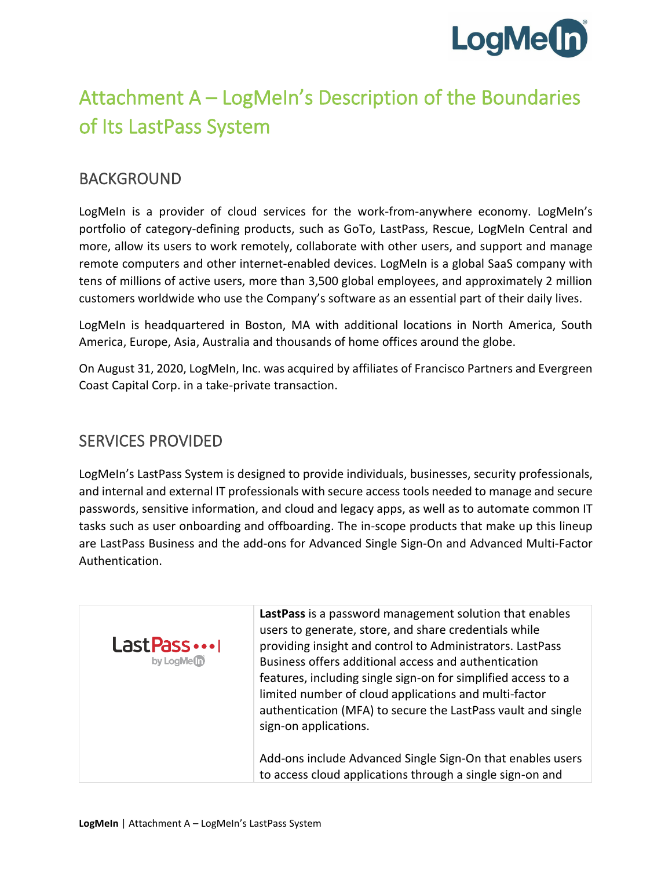

## Attachment A – LogMeIn's Description of the Boundaries of Its LastPass System

#### BACKGROUND

LogMeIn is a provider of cloud services for the work-from-anywhere economy. LogMeIn's portfolio of category-defining products, such as GoTo, LastPass, Rescue, LogMeIn Central and more, allow its users to work remotely, collaborate with other users, and support and manage remote computers and other internet-enabled devices. LogMeIn is a global SaaS company with tens of millions of active users, more than 3,500 global employees, and approximately 2 million customers worldwide who use the Company's software as an essential part of their daily lives.

LogMeIn is headquartered in Boston, MA with additional locations in North America, South America, Europe, Asia, Australia and thousands of home offices around the globe.

On August 31, 2020, LogMeIn, Inc. was acquired by affiliates of Francisco Partners and Evergreen Coast Capital Corp. in a take-private transaction.

#### SERVICES PROVIDED

LogMeIn's LastPass System is designed to provide individuals, businesses, security professionals, and internal and external IT professionals with secure access tools needed to manage and secure passwords, sensitive information, and cloud and legacy apps, as well as to automate common IT tasks such as user onboarding and offboarding. The in-scope products that make up this lineup are LastPass Business and the add-ons for Advanced Single Sign-On and Advanced Multi-Factor Authentication.

| Last Pass<br>by LogMe <sup>n</sup> | LastPass is a password management solution that enables<br>users to generate, store, and share credentials while<br>providing insight and control to Administrators. LastPass<br>Business offers additional access and authentication<br>features, including single sign-on for simplified access to a<br>limited number of cloud applications and multi-factor<br>authentication (MFA) to secure the LastPass vault and single<br>sign-on applications. |
|------------------------------------|----------------------------------------------------------------------------------------------------------------------------------------------------------------------------------------------------------------------------------------------------------------------------------------------------------------------------------------------------------------------------------------------------------------------------------------------------------|
|                                    | Add-ons include Advanced Single Sign-On that enables users<br>to access cloud applications through a single sign-on and                                                                                                                                                                                                                                                                                                                                  |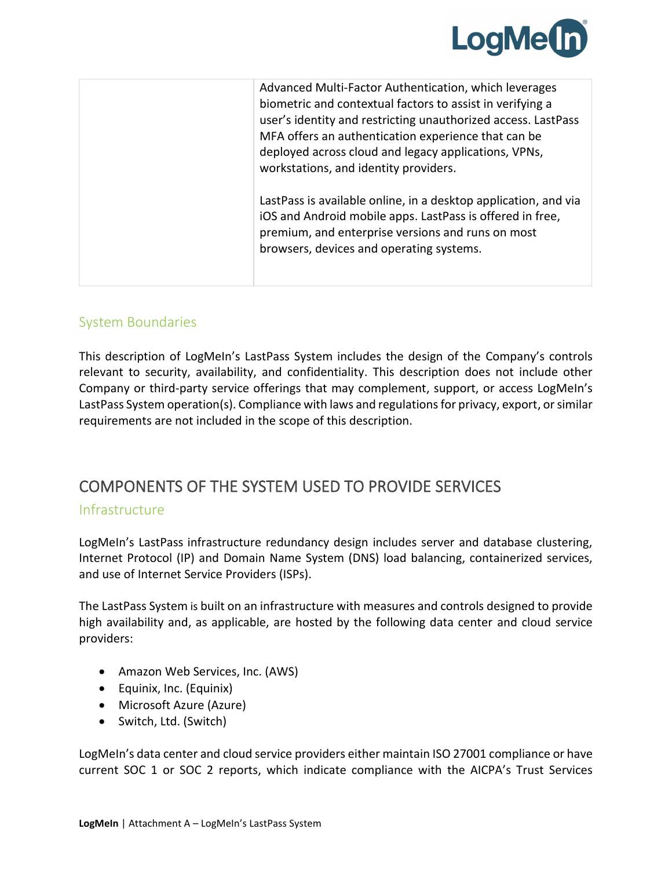

| Advanced Multi-Factor Authentication, which leverages<br>biometric and contextual factors to assist in verifying a<br>user's identity and restricting unauthorized access. LastPass<br>MFA offers an authentication experience that can be<br>deployed across cloud and legacy applications, VPNs,<br>workstations, and identity providers. |
|---------------------------------------------------------------------------------------------------------------------------------------------------------------------------------------------------------------------------------------------------------------------------------------------------------------------------------------------|
| LastPass is available online, in a desktop application, and via<br>iOS and Android mobile apps. LastPass is offered in free,<br>premium, and enterprise versions and runs on most<br>browsers, devices and operating systems.                                                                                                               |

#### System Boundaries

This description of LogMeIn's LastPass System includes the design of the Company's controls relevant to security, availability, and confidentiality. This description does not include other Company or third-party service offerings that may complement, support, or access LogMeIn's LastPass System operation(s). Compliance with laws and regulations for privacy, export, or similar requirements are not included in the scope of this description.

#### COMPONENTS OF THE SYSTEM USED TO PROVIDE SERVICES

#### Infrastructure

LogMeIn's LastPass infrastructure redundancy design includes server and database clustering, Internet Protocol (IP) and Domain Name System (DNS) load balancing, containerized services, and use of Internet Service Providers (ISPs).

The LastPass System is built on an infrastructure with measures and controls designed to provide high availability and, as applicable, are hosted by the following data center and cloud service providers:

- Amazon Web Services, Inc. (AWS)
- Equinix, Inc. (Equinix)
- Microsoft Azure (Azure)
- Switch, Ltd. (Switch)

LogMeIn's data center and cloud service providers either maintain ISO 27001 compliance or have current SOC 1 or SOC 2 reports, which indicate compliance with the AICPA's Trust Services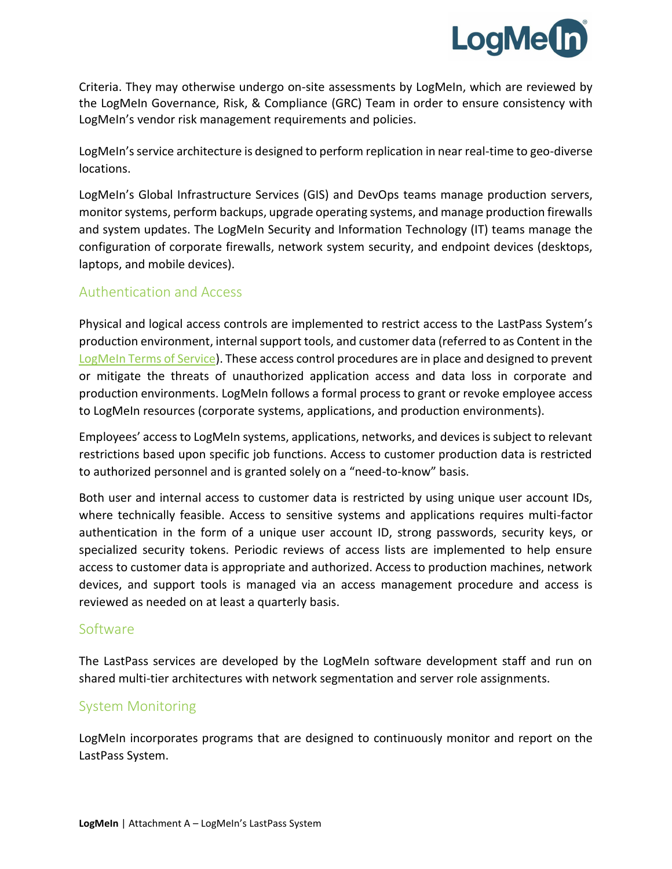

Criteria. They may otherwise undergo on-site assessments by LogMeIn, which are reviewed by the LogMeIn Governance, Risk, & Compliance (GRC) Team in order to ensure consistency with LogMeIn's vendor risk management requirements and policies.

LogMeIn's service architecture is designed to perform replication in near real-time to geo-diverse locations.

LogMeIn's Global Infrastructure Services (GIS) and DevOps teams manage production servers, monitor systems, perform backups, upgrade operating systems, and manage production firewalls and system updates. The LogMeIn Security and Information Technology (IT) teams manage the configuration of corporate firewalls, network system security, and endpoint devices (desktops, laptops, and mobile devices).

#### Authentication and Access

Physical and logical access controls are implemented to restrict access to the LastPass System's production environment, internal support tools, and customer data (referred to as Content in the [LogMeIn Terms of Service\)](https://www.logmein.com/legal/terms-and-conditions). These access control procedures are in place and designed to prevent or mitigate the threats of unauthorized application access and data loss in corporate and production environments. LogMeIn follows a formal process to grant or revoke employee access to LogMeIn resources (corporate systems, applications, and production environments).

Employees' access to LogMeIn systems, applications, networks, and devices is subject to relevant restrictions based upon specific job functions. Access to customer production data is restricted to authorized personnel and is granted solely on a "need-to-know" basis.

Both user and internal access to customer data is restricted by using unique user account IDs, where technically feasible. Access to sensitive systems and applications requires multi-factor authentication in the form of a unique user account ID, strong passwords, security keys, or specialized security tokens. Periodic reviews of access lists are implemented to help ensure access to customer data is appropriate and authorized. Access to production machines, network devices, and support tools is managed via an access management procedure and access is reviewed as needed on at least a quarterly basis.

#### Software

The LastPass services are developed by the LogMeIn software development staff and run on shared multi-tier architectures with network segmentation and server role assignments.

#### System Monitoring

LogMeIn incorporates programs that are designed to continuously monitor and report on the LastPass System.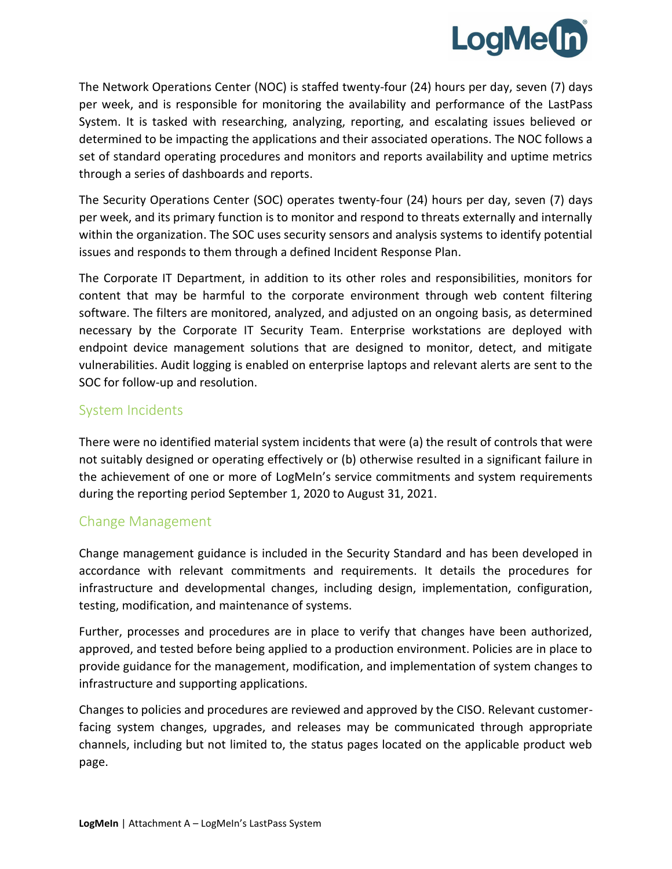

The Network Operations Center (NOC) is staffed twenty-four (24) hours per day, seven (7) days per week, and is responsible for monitoring the availability and performance of the LastPass System. It is tasked with researching, analyzing, reporting, and escalating issues believed or determined to be impacting the applications and their associated operations. The NOC follows a set of standard operating procedures and monitors and reports availability and uptime metrics through a series of dashboards and reports.

The Security Operations Center (SOC) operates twenty-four (24) hours per day, seven (7) days per week, and its primary function is to monitor and respond to threats externally and internally within the organization. The SOC uses security sensors and analysis systems to identify potential issues and responds to them through a defined Incident Response Plan.

The Corporate IT Department, in addition to its other roles and responsibilities, monitors for content that may be harmful to the corporate environment through web content filtering software. The filters are monitored, analyzed, and adjusted on an ongoing basis, as determined necessary by the Corporate IT Security Team. Enterprise workstations are deployed with endpoint device management solutions that are designed to monitor, detect, and mitigate vulnerabilities. Audit logging is enabled on enterprise laptops and relevant alerts are sent to the SOC for follow-up and resolution.

#### System Incidents

There were no identified material system incidents that were (a) the result of controls that were not suitably designed or operating effectively or (b) otherwise resulted in a significant failure in the achievement of one or more of LogMeIn's service commitments and system requirements during the reporting period September 1, 2020 to August 31, 2021.

#### Change Management

Change management guidance is included in the Security Standard and has been developed in accordance with relevant commitments and requirements. It details the procedures for infrastructure and developmental changes, including design, implementation, configuration, testing, modification, and maintenance of systems.

Further, processes and procedures are in place to verify that changes have been authorized, approved, and tested before being applied to a production environment. Policies are in place to provide guidance for the management, modification, and implementation of system changes to infrastructure and supporting applications.

Changes to policies and procedures are reviewed and approved by the CISO. Relevant customerfacing system changes, upgrades, and releases may be communicated through appropriate channels, including but not limited to, the status pages located on the applicable product web page.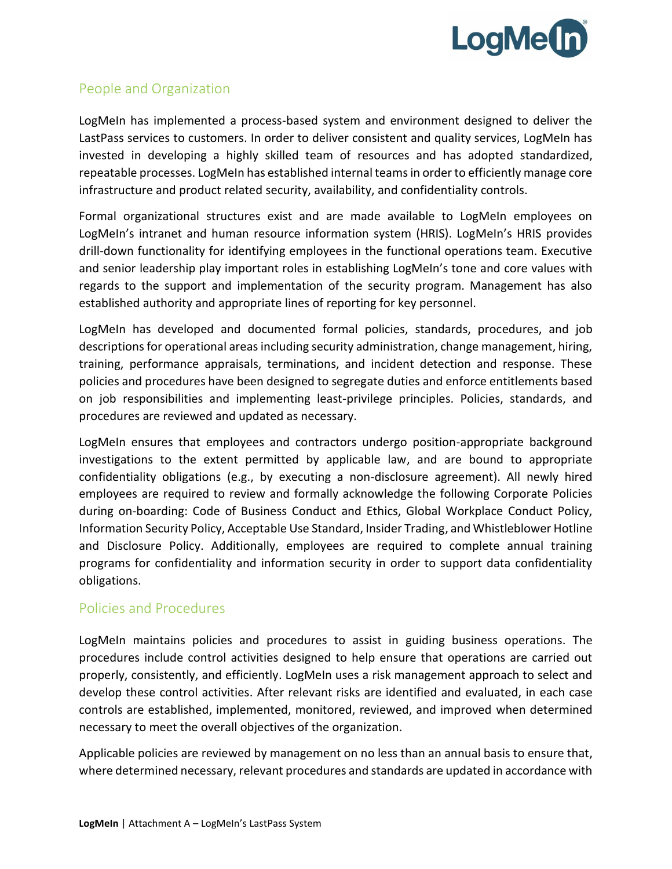

#### People and Organization

LogMeIn has implemented a process-based system and environment designed to deliver the LastPass services to customers. In order to deliver consistent and quality services, LogMeIn has invested in developing a highly skilled team of resources and has adopted standardized, repeatable processes. LogMeIn has established internal teams in order to efficiently manage core infrastructure and product related security, availability, and confidentiality controls.

Formal organizational structures exist and are made available to LogMeIn employees on LogMeIn's intranet and human resource information system (HRIS). LogMeIn's HRIS provides drill-down functionality for identifying employees in the functional operations team. Executive and senior leadership play important roles in establishing LogMeIn's tone and core values with regards to the support and implementation of the security program. Management has also established authority and appropriate lines of reporting for key personnel.

LogMeIn has developed and documented formal policies, standards, procedures, and job descriptions for operational areas including security administration, change management, hiring, training, performance appraisals, terminations, and incident detection and response. These policies and procedures have been designed to segregate duties and enforce entitlements based on job responsibilities and implementing least-privilege principles. Policies, standards, and procedures are reviewed and updated as necessary.

LogMeIn ensures that employees and contractors undergo position-appropriate background investigations to the extent permitted by applicable law, and are bound to appropriate confidentiality obligations (e.g., by executing a non-disclosure agreement). All newly hired employees are required to review and formally acknowledge the following Corporate Policies during on-boarding: Code of Business Conduct and Ethics, Global Workplace Conduct Policy, Information Security Policy, Acceptable Use Standard, Insider Trading, and Whistleblower Hotline and Disclosure Policy. Additionally, employees are required to complete annual training programs for confidentiality and information security in order to support data confidentiality obligations.

#### Policies and Procedures

LogMeIn maintains policies and procedures to assist in guiding business operations. The procedures include control activities designed to help ensure that operations are carried out properly, consistently, and efficiently. LogMeIn uses a risk management approach to select and develop these control activities. After relevant risks are identified and evaluated, in each case controls are established, implemented, monitored, reviewed, and improved when determined necessary to meet the overall objectives of the organization.

Applicable policies are reviewed by management on no less than an annual basis to ensure that, where determined necessary, relevant procedures and standards are updated in accordance with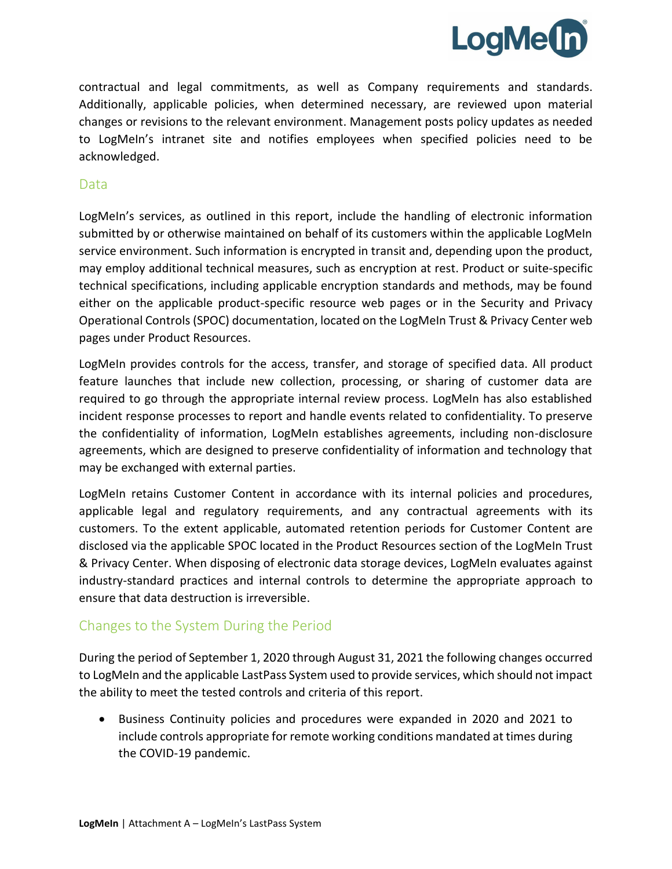

contractual and legal commitments, as well as Company requirements and standards. Additionally, applicable policies, when determined necessary, are reviewed upon material changes or revisions to the relevant environment. Management posts policy updates as needed to LogMeIn's intranet site and notifies employees when specified policies need to be acknowledged.

#### Data

LogMeIn's services, as outlined in this report, include the handling of electronic information submitted by or otherwise maintained on behalf of its customers within the applicable LogMeIn service environment. Such information is encrypted in transit and, depending upon the product, may employ additional technical measures, such as encryption at rest. Product or suite-specific technical specifications, including applicable encryption standards and methods, may be found either on the applicable product-specific resource web pages or in the Security and Privacy Operational Controls (SPOC) documentation, located on the LogMeIn Trust & Privacy Center web pages under Product Resources.

LogMeIn provides controls for the access, transfer, and storage of specified data. All product feature launches that include new collection, processing, or sharing of customer data are required to go through the appropriate internal review process. LogMeIn has also established incident response processes to report and handle events related to confidentiality. To preserve the confidentiality of information, LogMeIn establishes agreements, including non-disclosure agreements, which are designed to preserve confidentiality of information and technology that may be exchanged with external parties.

LogMeIn retains Customer Content in accordance with its internal policies and procedures, applicable legal and regulatory requirements, and any contractual agreements with its customers. To the extent applicable, automated retention periods for Customer Content are disclosed via the applicable SPOC located in the Product Resources section of the LogMeIn Trust & Privacy Center. When disposing of electronic data storage devices, LogMeIn evaluates against industry-standard practices and internal controls to determine the appropriate approach to ensure that data destruction is irreversible.

#### Changes to the System During the Period

During the period of September 1, 2020 through August 31, 2021 the following changes occurred to LogMeIn and the applicable LastPass System used to provide services, which should not impact the ability to meet the tested controls and criteria of this report.

• Business Continuity policies and procedures were expanded in 2020 and 2021 to include controls appropriate for remote working conditions mandated at times during the COVID-19 pandemic.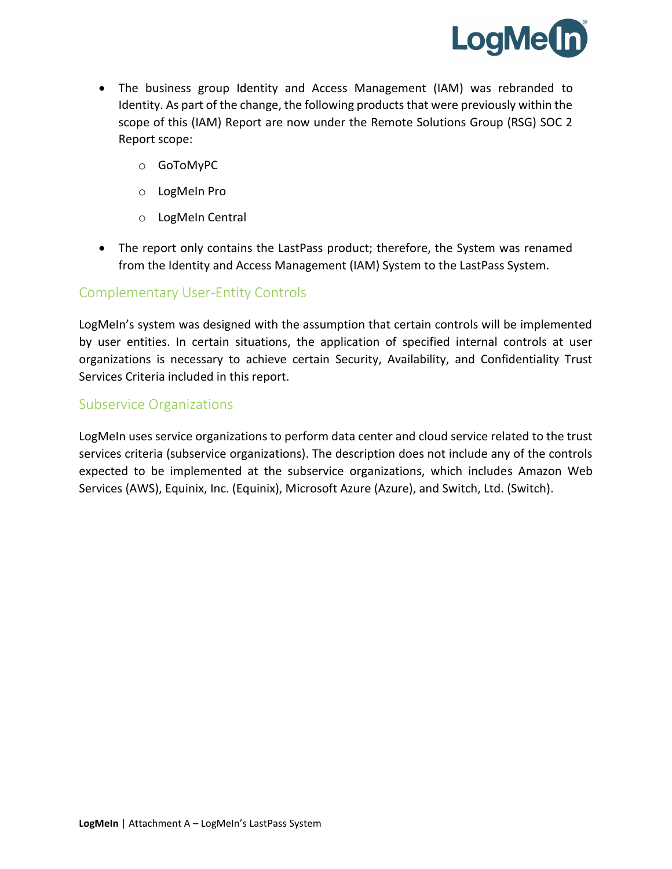

- The business group Identity and Access Management (IAM) was rebranded to Identity. As part of the change, the following products that were previously within the scope of this (IAM) Report are now under the Remote Solutions Group (RSG) SOC 2 Report scope:
	- o GoToMyPC
	- o LogMeIn Pro
	- o LogMeIn Central
- The report only contains the LastPass product; therefore, the System was renamed from the Identity and Access Management (IAM) System to the LastPass System.

#### Complementary User-Entity Controls

LogMeIn's system was designed with the assumption that certain controls will be implemented by user entities. In certain situations, the application of specified internal controls at user organizations is necessary to achieve certain Security, Availability, and Confidentiality Trust Services Criteria included in this report.

#### Subservice Organizations

LogMeIn uses service organizations to perform data center and cloud service related to the trust services criteria (subservice organizations). The description does not include any of the controls expected to be implemented at the subservice organizations, which includes Amazon Web Services (AWS), Equinix, Inc. (Equinix), Microsoft Azure (Azure), and Switch, Ltd. (Switch).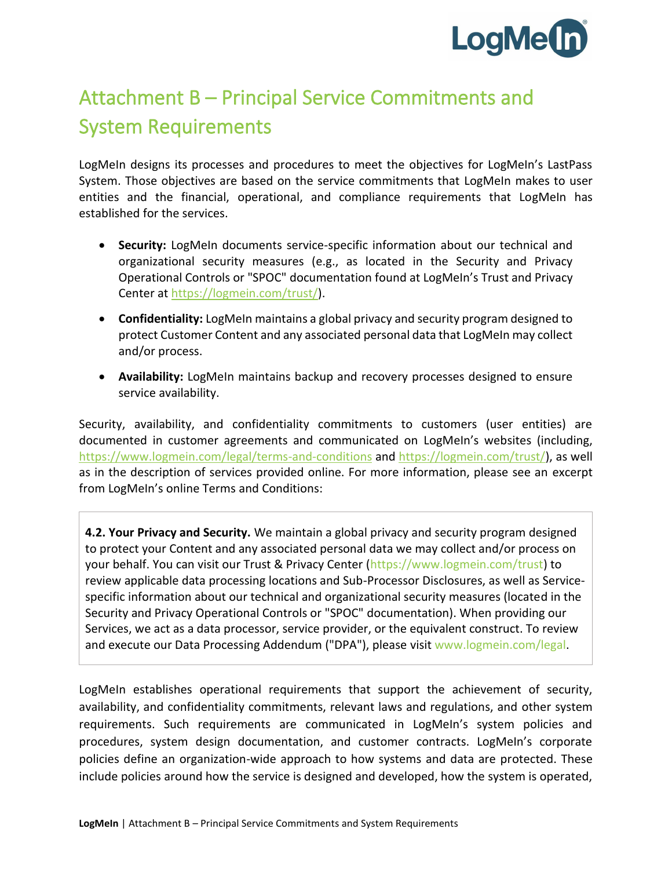

## Attachment B – Principal Service Commitments and System Requirements

LogMeIn designs its processes and procedures to meet the objectives for LogMeIn's LastPass System. Those objectives are based on the service commitments that LogMeIn makes to user entities and the financial, operational, and compliance requirements that LogMeIn has established for the services.

- **Security:** LogMeIn documents service-specific information about our technical and organizational security measures (e.g., as located in the Security and Privacy Operational Controls or "SPOC" documentation found at LogMeIn's Trust and Privacy Center at [https://logmein.com/trust/\)](https://logmein.com/trust/).
- **Confidentiality:** LogMeIn maintains a global privacy and security program designed to protect Customer Content and any associated personal data that LogMeIn may collect and/or process.
- **Availability:** LogMeIn maintains backup and recovery processes designed to ensure service availability.

Security, availability, and confidentiality commitments to customers (user entities) are documented in customer agreements and communicated on LogMeIn's websites (including, <https://www.logmein.com/legal/terms-and-conditions> and [https://logmein.com/trust/\)](https://logmein.com/trust/), as well as in the description of services provided online. For more information, please see an excerpt from LogMeIn's online Terms and Conditions:

**4.2. Your Privacy and Security.** We maintain a global privacy and security program designed to protect your Content and any associated personal data we may collect and/or process on your behalf. You can visit our Trust & Privacy Center [\(https://www.logmein.com/trust\)](https://www.logmein.com/trust) to review applicable data processing locations and Sub-Processor Disclosures, as well as Servicespecific information about our technical and organizational security measures (located in the Security and Privacy Operational Controls or "SPOC" documentation). When providing our Services, we act as a data processor, service provider, or the equivalent construct. To review and execute our Data Processing Addendum ("DPA"), please visit [www.logmein.com/legal.](https://www.logmein.com/legal)

LogMeIn establishes operational requirements that support the achievement of security, availability, and confidentiality commitments, relevant laws and regulations, and other system requirements. Such requirements are communicated in LogMeIn's system policies and procedures, system design documentation, and customer contracts. LogMeIn's corporate policies define an organization-wide approach to how systems and data are protected. These include policies around how the service is designed and developed, how the system is operated,